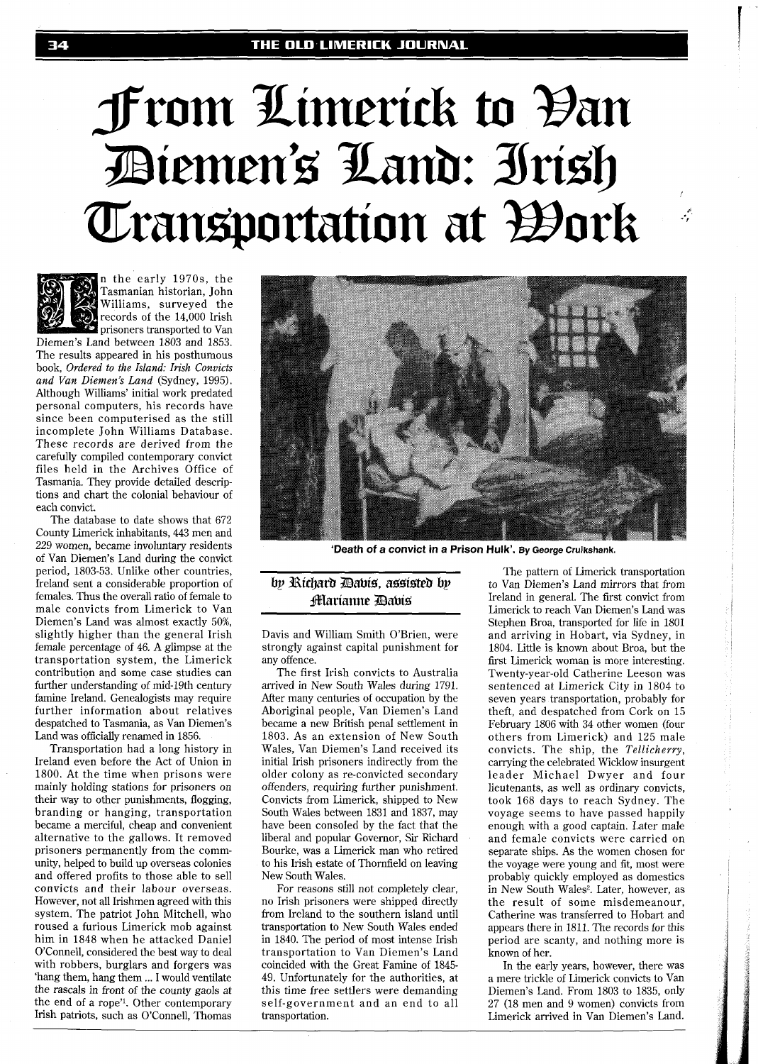# From Limerick to Đan Diemen's Land: Irish Transportation at *W*ork



n the early 1970s, the Tasmanian historian, John Williams, surveyed the records of the 14,000 Irish **2** prisoners transported to Van

Diemen's Land between 1803 and 1853. The results appeared in his posthumous book, *Ordered* to *the Island: Irish Convicts and Van Diemen's Land* (Sydney, 1995). Although Williams' initial work predated personal computers, his records have since been computerised as the still incomplete John Williams Database. These records are derived from the carefully compiled contemporary convict files held in the Archives Office of Tasmania. They provide detailed descriptions and chart the colonial behaviour of each convict.

The database to date shows that 672 County Limerick inhabitants, 443 men and 229 women, became involuntary residents of Van Diemen's Land during the convict period, 1803-53. Unlike other countries, Ireland sent a considerable proportion of females. Thus the overall ratio of female to male convicts from Limerick to Van Diemen's Land was almost exactly 50%, slightly higher than the general Irish female percentage of 46. A glimpse at the transportation system, the Limerick contribution and some case studies can further understanding of mid-19th century famine Ireland. Genealogists may require further information about relatives despatched to Tasmania, as Van Diemen's Land was officially renamed in 1856.

Transportation had a long history in Ireland even before the Act of Union in 1800. At the time when prisons were mainly holding stations for prisoners on their way to other punishments, flogging, branding or hanging, transportation became a merciful, cheap and convenient alternative to the gallows. It removed prisoners permanently from the community, helped to build up overseas colonies and offered profits to those able to sell convicts and their labour overseas. However, not all Irishmen agreed with this system. The patriot John Mitchell, who roused a furious Limerick mob against him in 1848 when he attacked Daniel O'Connell, considered the best way to deal with robbers, burglars and forgers was 'hang them, hang them ... I would ventilate the rascals in front of the county gaols at the end of a rope''. Other contemporary Irish patriots, such as O'Connell, Thomas



**'Death of a convict in a Prison Hulk'. By George Cruikshank.** 

## by Richard Dabis, assisted by **fflarianne Davis**

Davis and William Smith O'Brien, were strongly against capital punishment for any offence.

The first Irish convicts to Australia arrived in New South Wales during 1791. After many centuries of occupation by the Aboriginal people, Van Diemen's Land became a new British penal settlement in 1803. As an extension of New South Wales, Van Diemen's Land received its initial Irish prisoners indirectly from the older colony as re-convicted secondary offenders, requiring further punishment. Convicts from Limerick, shipped to New South Wales between 1831 and 1837, may have been consoled by the fact that the liberal and popular Governor, Sir Richard Bourke, was a Limerick man who retired to his Irish estate of Thornfield on leaving New South Wales.

For reasons still not completely clear, no Irish prisoners were shipped directly from Ireland to the southern island until transportation to New South Wales ended in 1840. The period of most intense Irish transportation to Van Diemen's Land coincided with the Great Famine of 1845- 49. Unfortunately for the authorities, at this time free settlers were demanding self-government and an end to all transportation.

The pattern of Limerick transportation to Van Diemen's Land mirrors that from Ireland in general. The first convict from Limerick to reach Van Diemen's Land was Stephen Broa, transported for life in 1801 and arriving in Hobart, via Sydney, in 1804. Little is known about Broa, but the first Limerick woman is more interesting.. Twenty-year-old Catherine Leeson was sentenced at Limerick City in 1804 to seven years transportation, probably for theft, and despatched from Cork on 15 February 1806 with 34 other women (four others from Limerick) and 125 male convicts. The ship, the *Tellicherry,*  carrying the celebrated Wicklow insurgent leader Michael Dwyer and four lieutenants, as well as ordinary convicts, took 168 days to reach Sydney. The voyage seems to have passed happily enough with a good captain. Later male and female convicts were carried on separate ships. As the women chosen for the voyage were young and fit, most were probably quickly employed as domestics in New South Wales<sup>2</sup>. Later, however, as the result of some misdemeanour, Catherine was transferred to Hobart and appears there in 1811. The records for this period are scanty, and nothing more is known of her.

بمعمو

In the early years, however, there was a mere trickle of Limerick convicts to Van Diemen's Land. From 1803 to 1835, only 27 (18 men and 9 women) convicts from Limerick arrived in Van Diemen's Land.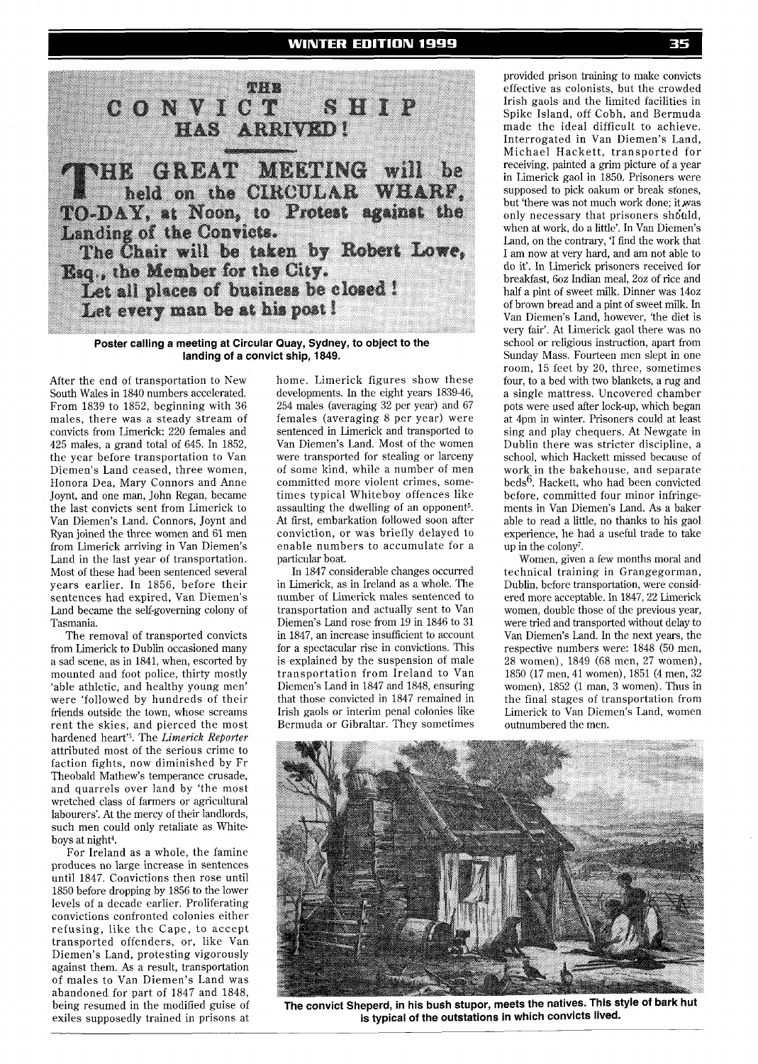

**Poster calling a meeting at Circular Quay, Sydney, to object to the landing of a convict ship, 1849.** 

After the end of transportation to New South Wales in 1840 numbers accelerated. From 1839 to 1852, beginning with 36 males, there was a steady stream of convicts from Limerick: 220 females and 425 males, a grand total of 645. In 1852, the year before transportation to Van Diemen's Land ceased, three women, Honora Dea, Mary Connors and Anne Joynt, and one man, John Regan, became the last convicts sent from Limerick to Van Diemen's Land. Connors, Joynt and Ryan joined the three women and 61 men from Limerick arriving in Van Diemen's Land in the last year of transportation. Most of these had been sentenced several years earlier. In 1856, before their sentences had expired, Van Diemen's Land became the self-governing colony of Tasmania.

The removal of transported convicts from Limerick to Dublin occasioned many a sad scene, as in 1841, when, escorted by mounted and foot police, thirty mostly 'able athletic, and healthy young men' were 'followed by hundreds of their friends outside the town, whose screams rent the skies, and pierced the most hardened heart'<sup>3</sup>. The *Limerick Reporter* attributed most of the serious crime to faction fights, now diminished by Fr Theobald Mathew's temperance crusade, and quarrels over land by 'the most wretched class of farmers or agricultural labourers'. At the mercy of their landlords, such men could only retaliate as Whiteboys at night4.

For Ireland as a whole, the famine produces no large increase in sentences until 1847. Convictions then rose until 1850 before dropping by 1856 to the lower levels of a decade earlier. Proliferating convictions confronted colonies either refusing, like the Cape, to accept transported offenders, or, like Van Diemen's Land, protesting vigorously against them. As a result, transportation of males to Van Diemen's Land was abandoned for part of 1847 and 1848, being resumed in the modified guise of exiles supposedly trained in prisons at

home. Limerick figures show these developments. In the eight years 1839-46, 254 males (averaging 32 per year) and 67 females (averaging 8 per year) were sentenced in Limerick and transported to Van Diemen's Land. Most of the women were transported for stealing or larceny of some kind, while a number of men committed more violent crimes, sometimes typical Whiteboy offences like assaulting the dwelling of an opponent5. At first, embarkation followed soon after conviction, or was briefly delayed to enable numbers to accumulate for a particular boat.

In 1847 considerable changes occurred in Limerick, as in Ireland as a whole. The number of Limerick males sentenced to transportation and actually sent to Van Diemen's Land rose from 19 in 1846 to 31 in 1847, an increase insufficient to account for a spectacular rise in convictions. This is explained by the suspension of male transportation from Ireland to Van Diemen's Land in 1847 and 1848, ensuring that those convicted in 1847 remained in Irish gaols or interim penal colonies like Bermuda or Gibraltar. They sometimes provided prison training to make convicts effective as colonists, but the crowded Irish gaols and the limited facilities in Spike Island, off Cobh, and Bermuda made the ideal difficult to achieve. Interrogated in Van Diemen's Land, Michael Hackett, transported for receiving, painted a grim picture of a year in Limerick gaol in 1850. Prisoners were supposed to pick oakum or break sfones, but 'there was not much work done; it was only necessary that prisoners should, when at work, do a little'. In Van Diemen's Land, on the contrary, 'I find the work that I am now at very hard, and am not able to do it'. In Limerick prisoners received for breakfast, 602 Indian meal, 202 of rice and half a pint of sweet milk. Dinner was 1402 of brown bread and a pint of sweet milk. In Van Diemen's Land, however, 'the diet is very fair'. At Limerick gaol there was no school or religious instruction, apart from Sunday Mass. Fourteen men slept in one room, 15 feet by 20, three, sometimes four, to a bed with two blankets, a rug and a single mattress. Uncovered chamber pots were used after lock-up, which began at 4pm in winter. Prisoners could at least sing and play chequers. At Newgate in Dublin there was stricter discipline, a school, which Hackett missed because of work in the bakehouse, and separate  $beds<sup>6</sup>$ . Hackett, who had been convicted before, committed four minor infringements in Van Diemen's Land. As a baker able to read a little, no thanks to his gaol experience, he had a useful trade to take up in the colony7.

Women, given a few months moral and technical training in Grangegorman, Dublin, before transportation, were considered more acceptable. In 1847,22 Limerick women, double those of the previous year, were tried and transported without delay to Van Diemen's Land. In the next years, the respective numbers were: 1848 (50 men, 28 women), 1849 (68 men, 27 women), 1850 (17 men, 41 women), 1851 (4 men, 32 women), 1852 (1 man, 3 women). Thus in the final stages of transportation from Limerick to Van Diemen's Land, women outnumbered the men.



The convict Sheperd, in his bush stupor, meets the natives. This style of bark hut **is typical of the outstations in which convicts lived.**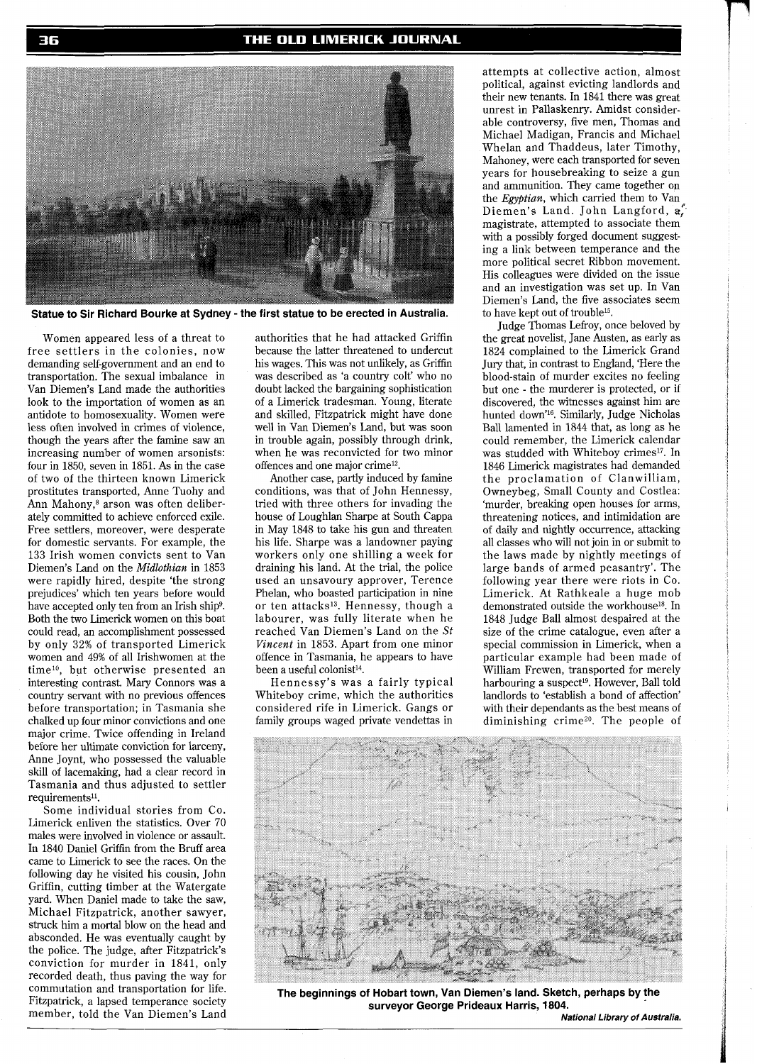#### THE OLD LIMERICK JOURNAL



**Statue to Sir Richard Bourke at Sydney** - **the first statue to be erected in Australia.** 

Women appeared less of a threat to free settlers in the colonies, now demanding self-government and an end to transportation. The sexual imbalance in Van Diemen's Land made the authorities look to the importation of women as an antidote to homosexuality. Women were less often involved in crimes of violence, though the years after the famine saw an increasing number of women arsonists: four in 1850, seven in 1851. As in the case of two of the thirteen known Limerick prostitutes transported, Anne Tuohy and Ann Mahony,<sup>8</sup> arson was often deliberately committed to achieve enforced exile. Free settlers, moreover, were desperate for domestic servants. For example, the 133 Irish women convicts sent to Van Diemen's Land on the *Midlothian* in 1853 were rapidly hired, despite 'the strong prejudices' which ten years before would have accepted only ten from an Irish ship<sup>9</sup>. Both the two Limerick women on this boat could read, an accomplishment possessed by only 32% of transported Limerick women and 49% of all Irishwomen at the time<sup>10</sup>, but otherwise presented an interesting contrast. Mary Connors was a country servant with no previous offences before transportation; in Tasmania she chalked up four minor convictions and one major crime. Twice offending in Ireland before her ultimate conviction for larceny, Anne Joynt, who possessed the valuable skill of lacemaking, had a clear record in Tasmania and thus adjusted to settler requirements<sup>11</sup>.

Some individual stories from Co. Limerick enliven the statistics. Over 70 males were involved in violence or assault. In 1840 Daniel Griffin from the Bruff area came to Limerick to see the races. On the following day he visited his cousin, John Griffin, cutting timber at the Watergate yard. When Daniel made to take the saw, Michael Fitzpatrick, another sawyer, struck him a mortal blow on the head and absconded. He was eventually caught by the police. The judge, after Fitzpatrick's conviction for murder in 1841, only recorded death, thus paving the way for commutation and transportation for life. Fitzpatrick, a lapsed temperance society member, told the Van Diemen's Land authorities that he had attacked Griffin because the latter threatened to undercut his wages. This was not unlikely, as Griffin was described as 'a country colt' who no doubt lacked the bargaining sophistication of a Limerick tradesman. Young, literate and skilled, Fitzpatrick might have done well in Van Diemen's Land, but was soon in trouble again, possibly through drink, when he was reconvicted for two minor offences and one major crime12.

Another case, partly induced by famine conditions, was that of John Hennessy, tried with three others for invading the house of Loughlan Sharpe at South Cappa in May 1848 to take his gun and threaten his life. Sharpe was a landowner paying workers only one shilling a week for draining his land. At the trial, the police used an unsavoury approver, Terence Phelan, who boasted participation in nine or ten attacks's. Hennessy, though a labourer, was fully literate when he reached Van Diemen's Land on the *St Vincent* in 1853. Apart from one minor offence in Tasmania, he appears to have been a useful colonist<sup>14</sup>.

Hennessy's was a fairly typical Whiteboy crime, which the authorities considered rife in Limerick. Gangs or family groups waged private vendettas in

attempts at collective action, almost political, against evicting landlords and their new tenants. In 1841 there was great unrest in Pallaskenry. Amidst considerable controversy, five men, Thomas and Michael Madigan, Francis and Michael Whelan and Thaddeus, later Timothy, Mahoney, were each transported for seven years for housebreaking to seize a gun and ammunition. They came together on the *Egyptian*, which carried them to Van Diemen's Land. John Langford, a, magistrate, attempted to associate them with a possibly forged document suggesting a link between temperance and the more political secret Ribbon movement. His colleagues were divided on the issue and an investigation was set up. In Van Diemen's Land, the five associates seem to have kept out of trouble15.

Judge Thomas Lefroy, once beloved by the great novelist, Jane Austen, as early as 1824 complained to the Limerick Grand Jury that, in contrast to England, 'Here the blood-stain of murder excites no feeling but one - the murderer is protected, or if discovered. the witnesses against him are hunted down'16. Similarly, Judge Nicholas Ball lamented in 1844 that, as long as he could remember, the Limerick calendar was studded with Whiteboy crimes<sup>17</sup>. In 1846 Limerick magistrates had demanded the proclamation of Clanwilliam, Owneybeg, Small County and Costlea: 'murder, breaking open houses for arms, threatening notices, and intimidation are of daily and nightly occurrence, attacking all classes who will not join in or submit to the laws made by nightly meetings of large bands of armed peasantry'. The following year there were riots in Co. Limerick. At Rathkeale a huge mob demonstrated outside the workhouse<sup>18</sup>. In 1848 Judge Ball almost despaired at the size of the crime catalogue, even after a special commission in Limerick, when a particular example had been made of William Frewen, transported for merely harbouring a suspect<sup>19</sup>. However, Ball told landlords to 'establish a bond of affection' with their dependants as the best means of diminishing crime<sup>20</sup>. The people of



**The beginnings of Hobart town, Van Diemen's land. Sketch, perhaps by the surveyor George Prideaux Harris, 1804.** 

**National Library of Australia.**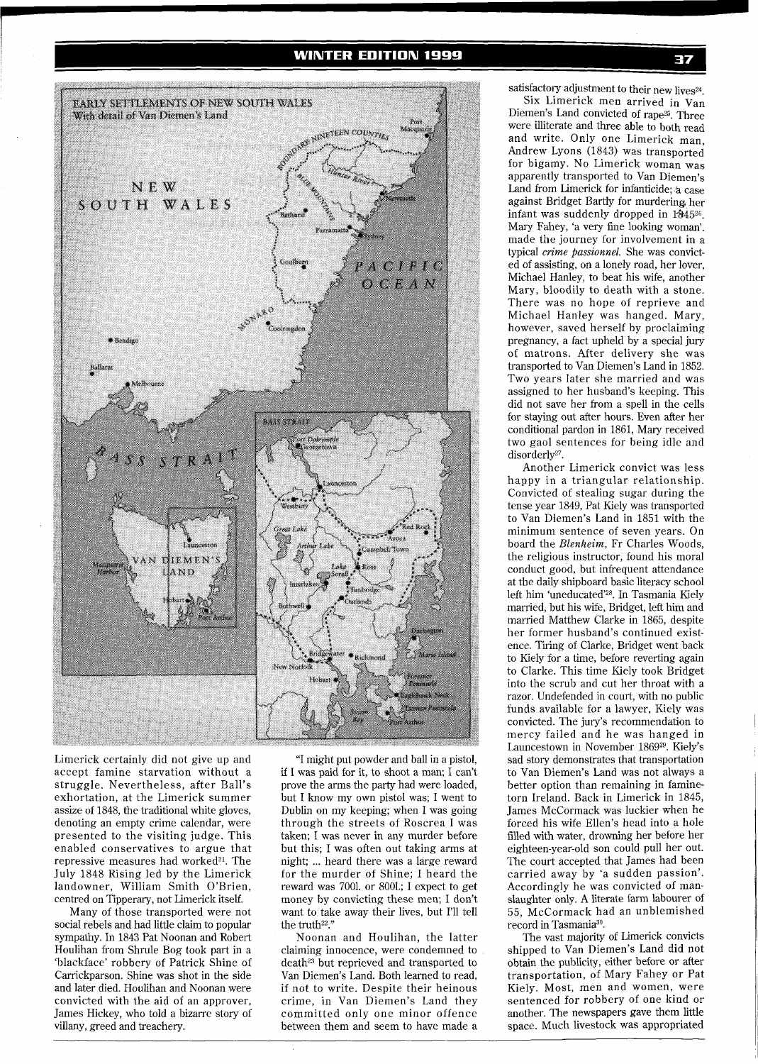

Limerick certainly did not give up and accept famine starvation without a struggle. Nevertheless, after Ball's exhortation, at the Limerick summer assize of 1848, the traditional white gloves, denoting an empty crime calendar, were presented to the visiting judge. This enabled conservatives to argue that repressive measures had worked<sup>21</sup>. The July 1848 Rising led by the Limerick landowner, William Smith O'Brien, centred on Tipperary, not Limerick itself.

Many of those transported were not social rebels and had little claim to popular sympathy. In 1843 Pat Noonan and Robert Houlihan from Shrule Bog took part in a 'blackface' robbery of Patrick Shine of Carrickparson. Shine was shot in the side and later died. Houlihan and Noonan were convicted with the aid of an approver, James Hickey, who told a bizarre story of villany, greed and treachery.

"I might put powder and ball in a pistol, if I was paid for it, to shoot a man; I can't prove the arms the party had were loaded, but I know my own pistol was; I went to Dublin on my keeping; when I was going through the streets of Roscrea I was taken; I was never in any murder before but this; I was often out taking arms at night; ... heard there was a large reward for the murder of Shine; I heard the reward was 7001. or 8001.; I expect to get money by convicting these men; I don't want to take away their lives, but I'll tell the truth<sup>22</sup>."

Noonan and Houlihan, the latter claiming innocence, were condemned to death<sup>23</sup> but reprieved and transported to Van Diemen's Land. Both learned to read, if not to write. Despite their heinous crime, in Van Diemen's Land they committed only one minor offence between them and seem to have made a

satisfactory adjustment to their new lives $^{24}$ .

Six Limerick men arrived in Van Diemen's Land convicted of rape<sup>25</sup>. Three were illiterate and three able to both read and write. Only one Limerick man, Andrew Lyons (1843) was transported for bigamy. No Limerick woman was apparently transported to Van Diemen's Land from Limerick for infanticide; 'a case against Bridget Bartly for murdering, her infant was suddenly dropped in  $1845^{26}$ . Mary Fahey, 'a very fine looking woman'. made the journey for involvement in a typical *crime passionnel.* She was convicted of assisting, on a lonely road, her lover, Michael Hanley, to beat his wife, another Mary, bloodily to death with a stone. There was no hope of reprieve and Michael Hanley was hanged. Mary, however, saved herself by proclaiming pregnancy, a fact upheld by a special jury of matrons. After delivery she was transported to Van Diemen's Land in 1852. Two years later she married and was assigned to her husband's keeping. This did not save her from a spell in the cells for staying out after hours. Even after her conditional pardon in 1861, Mary received two gaol sentences for being idle and disorderly<sup>27</sup>.

Another Limerick convict was less happy in a triangular relationship. Convicted of stealing sugar during the tense year 1849, Pat Kiely was transported to Van Diemen's Land in 1851 with the minimum sentence of seven years. On board the *Blenheim,* Fr Charles Woods, the religious instructor, found his moral conduct good, but infrequent attendance at the daily shipboard basic literacy school left him 'uneducated'<sup>28</sup>. In Tasmania Kiely married, but his wife, Bridget, left him and married Matthew Clarke in 1865, despite her former husband's continued existence. Tiring of Clarke, Bridget went back to Kiely for a time, before reverting again to Clarke. This time Kiely took Bridget into the scrub and cut her throat with a razor. Undefended in court, with no public funds available for a lawyer, Kiely was convicted. The jury's recommendation to mercy failed and he was hanged in Launcestown in November 186929. Kiely's sad story demonstrates that transportation to Van Diemen's Land was not always a better option than remaining in faminetorn Ireland. Back in Limerick in 1845, James McCormack was luckier when he forced his wife Ellen's head into a hole filled with water, drowning her before her eighteen-year-old son could pull her out. The court accepted that James had been carried away by 'a sudden passion'. Accordingly he was convicted of manslaughter only. A literate farm labourer of 55, McCormack had an unblemished record in Tasmania30.

The vast majority of Limerick convicts shipped to Van Diemen's Land did not obtain the publicity, either before or after transportation, of Mary Fahey or Pat Kiely. Most, men and women, were sentenced for robbery of one kind or another. The newspapers gave them little space. Much livestock was appropriated